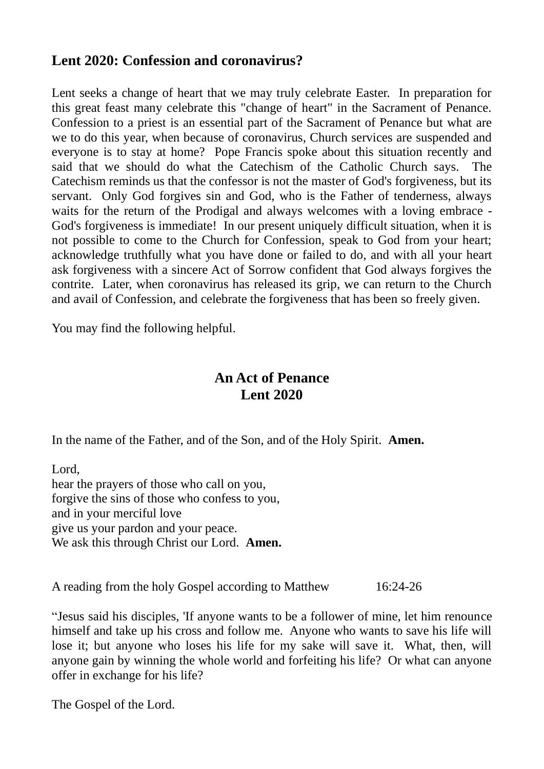# **Lent 2020: Confession and coronavirus?**

Lent seeks a change of heart that we may truly celebrate Easter. In preparation for this great feast many celebrate this "change of heart" in the Sacrament of Penance. Confession to a priest is an essential part of the Sacrament of Penance but what are we to do this year, when because of coronavirus, Church services are suspended and everyone is to stay at home? Pope Francis spoke about this situation recently and said that we should do what the Catechism of the Catholic Church says. The Catechism reminds us that the confessor is not the master of God's forgiveness, but its servant. Only God forgives sin and God, who is the Father of tenderness, always waits for the return of the Prodigal and always welcomes with a loving embrace - God's forgiveness is immediate! In our present uniquely difficult situation, when it is not possible to come to the Church for Confession, speak to God from your heart; acknowledge truthfully what you have done or failed to do, and with all your heart ask forgiveness with a sincere Act of Sorrow confident that God always forgives the contrite. Later, when coronavirus has released its grip, we can return to the Church and avail of Confession, and celebrate the forgiveness that has been so freely given.

You may find the following helpful.

# **An Act of Penance Lent 2020**

In the name of the Father, and of the Son, and of the Holy Spirit. **Amen.**

Lord, hear the prayers of those who call on you, forgive the sins of those who confess to you, and in your merciful love give us your pardon and your peace. We ask this through Christ our Lord. **Amen.** 

A reading from the holy Gospel according to Matthew 16:24-26

"Jesus said his disciples, 'If anyone wants to be a follower of mine, let him renounce himself and take up his cross and follow me. Anyone who wants to save his life will lose it; but anyone who loses his life for my sake will save it. What, then, will anyone gain by winning the whole world and forfeiting his life? Or what can anyone offer in exchange for his life?

The Gospel of the Lord.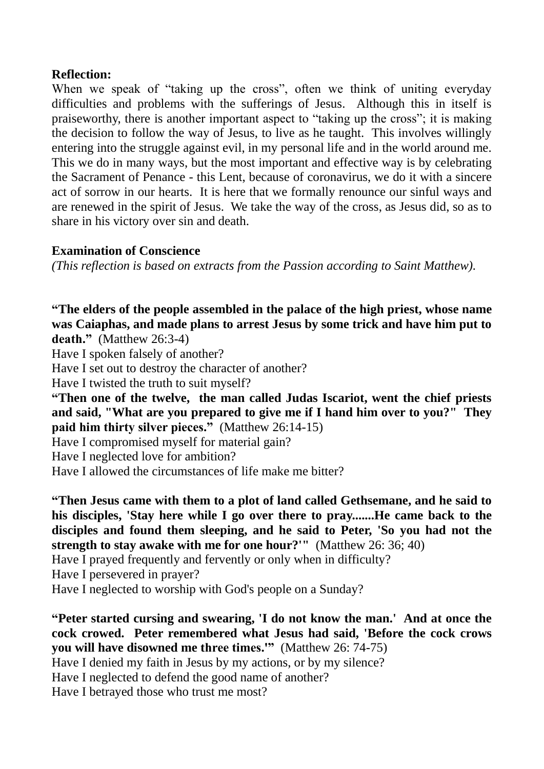### **Reflection:**

When we speak of "taking up the cross", often we think of uniting everyday difficulties and problems with the sufferings of Jesus. Although this in itself is praiseworthy, there is another important aspect to "taking up the cross"; it is making the decision to follow the way of Jesus, to live as he taught. This involves willingly entering into the struggle against evil, in my personal life and in the world around me. This we do in many ways, but the most important and effective way is by celebrating the Sacrament of Penance - this Lent, because of coronavirus, we do it with a sincere act of sorrow in our hearts. It is here that we formally renounce our sinful ways and are renewed in the spirit of Jesus. We take the way of the cross, as Jesus did, so as to share in his victory over sin and death.

## **Examination of Conscience**

*(This reflection is based on extracts from the Passion according to Saint Matthew).*

**"The elders of the people assembled in the palace of the high priest, whose name was Caiaphas, and made plans to arrest Jesus by some trick and have him put to death."** (Matthew 26:3-4)

Have I spoken falsely of another?

Have I set out to destroy the character of another?

Have I twisted the truth to suit myself?

**"Then one of the twelve, the man called Judas Iscariot, went the chief priests and said, "What are you prepared to give me if I hand him over to you?" They paid him thirty silver pieces."** (Matthew 26:14-15)

Have I compromised myself for material gain?

Have I neglected love for ambition?

Have I allowed the circumstances of life make me bitter?

**"Then Jesus came with them to a plot of land called Gethsemane, and he said to his disciples, 'Stay here while I go over there to pray.......He came back to the disciples and found them sleeping, and he said to Peter, 'So you had not the strength to stay awake with me for one hour?'"** (Matthew 26: 36; 40)

Have I prayed frequently and fervently or only when in difficulty?

Have I persevered in prayer?

Have I neglected to worship with God's people on a Sunday?

**"Peter started cursing and swearing, 'I do not know the man.' And at once the cock crowed. Peter remembered what Jesus had said, 'Before the cock crows you will have disowned me three times.'"** (Matthew 26: 74-75)

Have I denied my faith in Jesus by my actions, or by my silence?

Have I neglected to defend the good name of another?

Have I betrayed those who trust me most?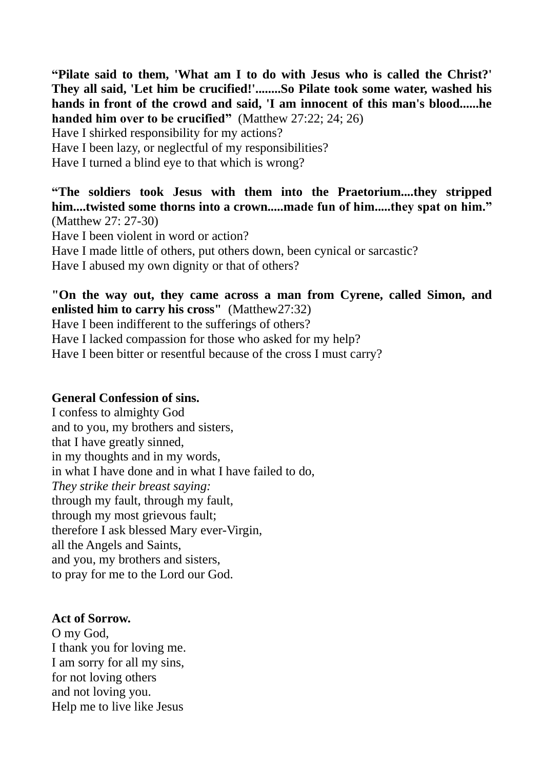**"Pilate said to them, 'What am I to do with Jesus who is called the Christ?' They all said, 'Let him be crucified!'........So Pilate took some water, washed his hands in front of the crowd and said, 'I am innocent of this man's blood......he handed him over to be crucified"** (Matthew 27:22; 24; 26) Have I shirked responsibility for my actions?

Have I been lazy, or neglectful of my responsibilities?

Have I turned a blind eye to that which is wrong?

**"The soldiers took Jesus with them into the Praetorium....they stripped him....twisted some thorns into a crown.....made fun of him.....they spat on him."** (Matthew 27: 27-30)

Have I been violent in word or action? Have I made little of others, put others down, been cynical or sarcastic? Have I abused my own dignity or that of others?

### **"On the way out, they came across a man from Cyrene, called Simon, and enlisted him to carry his cross"** (Matthew27:32)

Have I been indifferent to the sufferings of others?

Have I lacked compassion for those who asked for my help?

Have I been bitter or resentful because of the cross I must carry?

### **General Confession of sins.**

I confess to almighty God and to you, my brothers and sisters, that I have greatly sinned, in my thoughts and in my words, in what I have done and in what I have failed to do, *They strike their breast saying:* through my fault, through my fault, through my most grievous fault; therefore I ask blessed Mary ever-Virgin, all the Angels and Saints, and you, my brothers and sisters, to pray for me to the Lord our God.

#### **Act of Sorrow.**

O my God, I thank you for loving me. I am sorry for all my sins, for not loving others and not loving you. Help me to live like Jesus